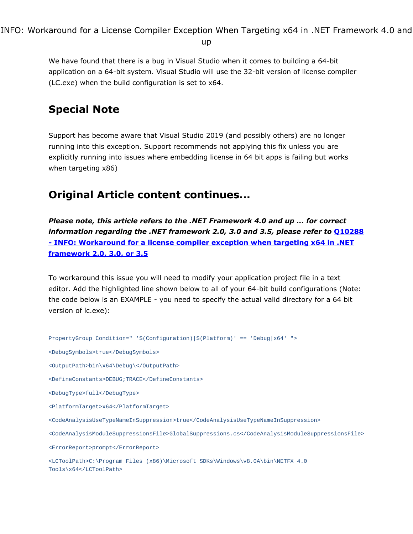INFO: Workaround for a License Compiler Exception When Targeting x64 in .NET Framework 4.0 and

up

We have found that there is a bug in Visual Studio when it comes to building a 64-bit application on a 64-bit system. Visual Studio will use the 32-bit version of license compiler (LC.exe) when the build configuration is set to x64.

# Special Note

Support has become aware that Visual Studio 2019 (and possibly others) are no longer running into this exception. Support recommends not applying this fix unless you are explicitly running into issues where embedding license in 64 bit apps is failing but works when targeting x86)

## Original Article content continues...

*Please note, this article refers to the .NET Framework 4.0 and up ... for correct information regarding the .NET framework 2.0, 3.0 and 3.5, please refer to* [Q10288](http://www.atalasoft.com/KB/article.aspx?id=10288) [-](http://www.atalasoft.com/KB/article.aspx?id=10288) [INFO:](http://www.atalasoft.com/KB/article.aspx?id=10288) [Workaround](http://www.atalasoft.com/KB/article.aspx?id=10288) [for](http://www.atalasoft.com/KB/article.aspx?id=10288) [a](http://www.atalasoft.com/KB/article.aspx?id=10288) [license](http://www.atalasoft.com/KB/article.aspx?id=10288) [compiler](http://www.atalasoft.com/KB/article.aspx?id=10288) [exception](http://www.atalasoft.com/KB/article.aspx?id=10288) [when](http://www.atalasoft.com/KB/article.aspx?id=10288) [targeting](http://www.atalasoft.com/KB/article.aspx?id=10288) [x64](http://www.atalasoft.com/KB/article.aspx?id=10288) [in](http://www.atalasoft.com/KB/article.aspx?id=10288) [.NET](http://www.atalasoft.com/KB/article.aspx?id=10288) [framework](http://www.atalasoft.com/KB/article.aspx?id=10288) [2.0,](http://www.atalasoft.com/KB/article.aspx?id=10288) [3.0,](http://www.atalasoft.com/KB/article.aspx?id=10288) [or](http://www.atalasoft.com/KB/article.aspx?id=10288) [3.5](http://www.atalasoft.com/KB/article.aspx?id=10288)

To workaround this issue you will need to modify your application project file in a text editor. Add the highlighted line shown below to all of your 64-bit build configurations (Note: the code below is an EXAMPLE - you need to specify the actual valid directory for a 64 bit version of lc.exe):

```
PropertyGroup Condition=" '$(Configuration)|$(Platform)' == 'Debug|x64' ">
<DebugSymbols>true</DebugSymbols>
<OutputPath>bin\x64\Debug\</OutputPath>
<DefineConstants>DEBUG;TRACE</DefineConstants>
<DebugType>full</DebugType>
<PlatformTarget>x64</PlatformTarget>
<CodeAnalysisUseTypeNameInSuppression>true</CodeAnalysisUseTypeNameInSuppression>
<CodeAnalysisModuleSuppressionsFile>GlobalSuppressions.cs</CodeAnalysisModuleSuppressionsFile>
<ErrorReport>prompt</ErrorReport>
<LCToolPath>C:\Program Files (x86)\Microsoft SDKs\Windows\v8.0A\bin\NETFX 4.0
Tools\x64</LCToolPath>
```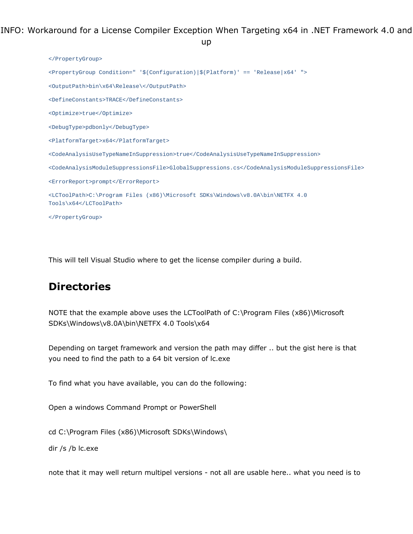INFO: Workaround for a License Compiler Exception When Targeting x64 in .NET Framework 4.0 and up

```
</PropertyGroup>
<PropertyGroup Condition=" '$(Configuration)|$(Platform)' == 'Release|x64' ">
<OutputPath>bin\x64\Release\</OutputPath>
<DefineConstants>TRACE</DefineConstants>
<Optimize>true</Optimize>
<DebugType>pdbonly</DebugType>
<PlatformTarget>x64</PlatformTarget>
<CodeAnalysisUseTypeNameInSuppression>true</CodeAnalysisUseTypeNameInSuppression>
<CodeAnalysisModuleSuppressionsFile>GlobalSuppressions.cs</CodeAnalysisModuleSuppressionsFile>
<ErrorReport>prompt</ErrorReport>
<LCToolPath>C:\Program Files (x86)\Microsoft SDKs\Windows\v8.0A\bin\NETFX 4.0
Tools\x64</LCToolPath>
</PropertyGroup>
```
This will tell Visual Studio where to get the license compiler during a build.

### **Directories**

NOTE that the example above uses the LCToolPath of C:\Program Files (x86)\Microsoft SDKs\Windows\v8.0A\bin\NETFX 4.0 Tools\x64

Depending on target framework and version the path may differ .. but the gist here is that you need to find the path to a 64 bit version of lc.exe

To find what you have available, you can do the following:

Open a windows Command Prompt or PowerShell

cd C:\Program Files (x86)\Microsoft SDKs\Windows\

dir /s /b lc.exe

note that it may well return multipel versions - not all are usable here.. what you need is to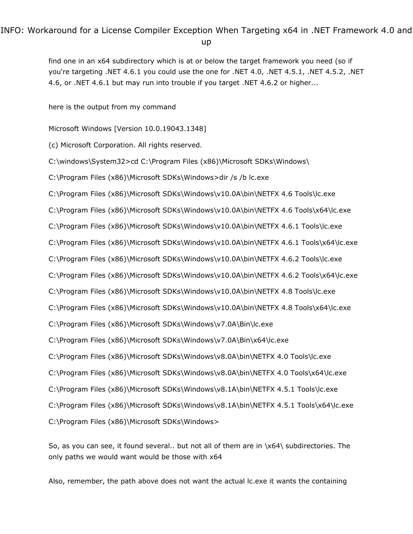# INFO: Workaround for a License Compiler Exception When Targeting x64 in .NET Framework 4.0 and

up

find one in an x64 subdirectory which is at or below the target framework you need (so if you're targeting .NET 4.6.1 you could use the one for .NET 4.0, .NET 4.5.1, .NET 4.5.2, .NET 4.6, or .NET 4.6.1 but may run into trouble if you target .NET 4.6.2 or higher...

here is the output from my command

Microsoft Windows [Version 10.0.19043.1348]

(c) Microsoft Corporation. All rights reserved.

C:\windows\System32>cd C:\Program Files (x86)\Microsoft SDKs\Windows\

C:\Program Files (x86)\Microsoft SDKs\Windows>dir /s /b lc.exe

C:\Program Files (x86)\Microsoft SDKs\Windows\v10.0A\bin\NETFX 4.6 Tools\lc.exe

C:\Program Files (x86)\Microsoft SDKs\Windows\v10.0A\bin\NETFX 4.6 Tools\x64\lc.exe

C:\Program Files (x86)\Microsoft SDKs\Windows\v10.0A\bin\NETFX 4.6.1 Tools\lc.exe

C:\Program Files (x86)\Microsoft SDKs\Windows\v10.0A\bin\NETFX 4.6.1 Tools\x64\lc.exe

C:\Program Files (x86)\Microsoft SDKs\Windows\v10.0A\bin\NETFX 4.6.2 Tools\lc.exe

C:\Program Files (x86)\Microsoft SDKs\Windows\v10.0A\bin\NETFX 4.6.2 Tools\x64\lc.exe

C:\Program Files (x86)\Microsoft SDKs\Windows\v10.0A\bin\NETFX 4.8 Tools\lc.exe

C:\Program Files (x86)\Microsoft SDKs\Windows\v10.0A\bin\NETFX 4.8 Tools\x64\lc.exe

C:\Program Files (x86)\Microsoft SDKs\Windows\v7.0A\Bin\lc.exe

C:\Program Files (x86)\Microsoft SDKs\Windows\v7.0A\Bin\x64\lc.exe

C:\Program Files (x86)\Microsoft SDKs\Windows\v8.0A\bin\NETFX 4.0 Tools\lc.exe

C:\Program Files (x86)\Microsoft SDKs\Windows\v8.0A\bin\NETFX 4.0 Tools\x64\lc.exe

C:\Program Files (x86)\Microsoft SDKs\Windows\v8.1A\bin\NETFX 4.5.1 Tools\lc.exe

C:\Program Files (x86)\Microsoft SDKs\Windows\v8.1A\bin\NETFX 4.5.1 Tools\x64\lc.exe

C:\Program Files (x86)\Microsoft SDKs\Windows>

So, as you can see, it found several.. but not all of them are in \x64\ subdirectories. The only paths we would want would be those with x64

Also, remember, the path above does not want the actual lc.exe it wants the containing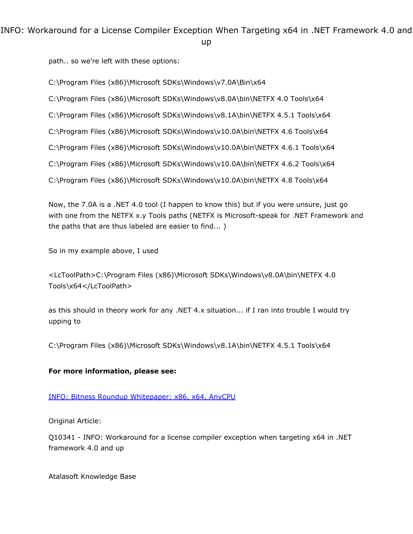INFO: Workaround for a License Compiler Exception When Targeting x64 in .NET Framework 4.0 and up

path.. so we're left with these options:

C:\Program Files (x86)\Microsoft SDKs\Windows\v7.0A\Bin\x64

C:\Program Files (x86)\Microsoft SDKs\Windows\v8.0A\bin\NETFX 4.0 Tools\x64

C:\Program Files (x86)\Microsoft SDKs\Windows\v8.1A\bin\NETFX 4.5.1 Tools\x64

C:\Program Files (x86)\Microsoft SDKs\Windows\v10.0A\bin\NETFX 4.6 Tools\x64

C:\Program Files (x86)\Microsoft SDKs\Windows\v10.0A\bin\NETFX 4.6.1 Tools\x64

C:\Program Files (x86)\Microsoft SDKs\Windows\v10.0A\bin\NETFX 4.6.2 Tools\x64

C:\Program Files (x86)\Microsoft SDKs\Windows\v10.0A\bin\NETFX 4.8 Tools\x64

Now, the 7.0A is a .NET 4.0 tool (I happen to know this) but if you were unsure, just go with one from the NETFX x.y Tools paths (NETFX is Microsoft-speak for .NET Framework and the paths that are thus labeled are easier to find... )

So in my example above, I used

<LcToolPath>C:\Program Files (x86)\Microsoft SDKs\Windows\v8.0A\bin\NETFX 4.0 Tools\x64</LcToolPath>

as this should in theory work for any .NET 4.x situation... if I ran into trouble I would try upping to

C:\Program Files (x86)\Microsoft SDKs\Windows\v8.1A\bin\NETFX 4.5.1 Tools\x64

#### For more information, please see:

[INFO:](https://www.atalasoft.com/KB2/KB/50024/INFO-Bitness-Roundup-Whitepaper-x86-x64-AnyCPU) [Bitness](https://www.atalasoft.com/KB2/KB/50024/INFO-Bitness-Roundup-Whitepaper-x86-x64-AnyCPU) [Roundup](https://www.atalasoft.com/KB2/KB/50024/INFO-Bitness-Roundup-Whitepaper-x86-x64-AnyCPU) [Whitepaper:](https://www.atalasoft.com/KB2/KB/50024/INFO-Bitness-Roundup-Whitepaper-x86-x64-AnyCPU) [x86,](https://www.atalasoft.com/KB2/KB/50024/INFO-Bitness-Roundup-Whitepaper-x86-x64-AnyCPU) [x64,](https://www.atalasoft.com/KB2/KB/50024/INFO-Bitness-Roundup-Whitepaper-x86-x64-AnyCPU) [AnyCPU](https://www.atalasoft.com/KB2/KB/50024/INFO-Bitness-Roundup-Whitepaper-x86-x64-AnyCPU)

Original Article:

Q10341 - INFO: Workaround for a license compiler exception when targeting x64 in .NET framework 4.0 and up

Atalasoft Knowledge Base